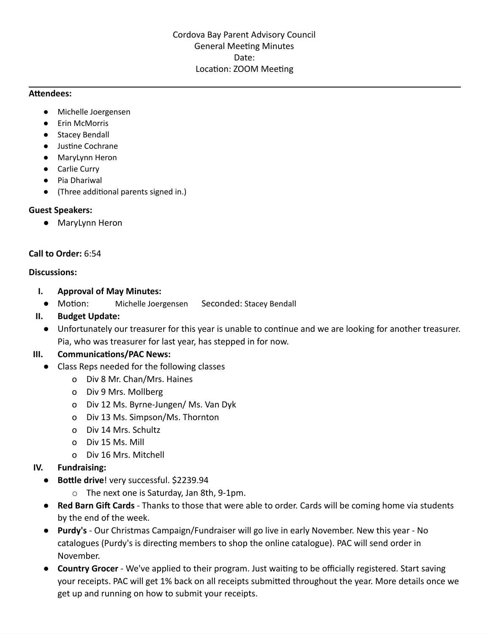#### **Attendees:**

- Michelle Joergensen
- Erin McMorris
- Stacey Bendall
- Justine Cochrane
- MaryLynn Heron
- Carlie Curry
- Pia Dhariwal
- (Three additional parents signed in.)

#### **Guest Speakers:**

● MaryLynn Heron

#### **Call to Order:** 6:54

#### **Discussions:**

- **I. Approval of May Minutes:**
	- Motion: Michelle Joergensen Seconded: Stacey Bendall

### **II. Budget Update:**

● Unfortunately our treasurer for this year is unable to continue and we are looking for another treasurer. Pia, who was treasurer for last year, has stepped in for now.

### **III. Communications/PAC News:**

- Class Reps needed for the following classes
	- o Div 8 Mr. Chan/Mrs. Haines
	- o Div 9 Mrs. Mollberg
	- o Div 12 Ms. Byrne-Jungen/ Ms. Van Dyk
	- o Div 13 Ms. Simpson/Ms. Thornton
	- o Div 14 Mrs. Schultz
	- o Div 15 Ms. Mill
	- o Div 16 Mrs. Mitchell

### **IV. Fundraising:**

- **Bottle drive**! very successful. \$2239.94
	- o The next one is Saturday, Jan 8th, 9-1pm.
- **Red Barn Gift Cards** Thanks to those that were able to order. Cards will be coming home via students by the end of the week.
- **Purdy's** Our Christmas Campaign/Fundraiser will go live in early November. New this year No catalogues (Purdy's is directing members to shop the online catalogue). PAC will send order in November.
- **Country Grocer** We've applied to their program. Just waiting to be officially registered. Start saving your receipts. PAC will get 1% back on all receipts submitted throughout the year. More details once we get up and running on how to submit your receipts.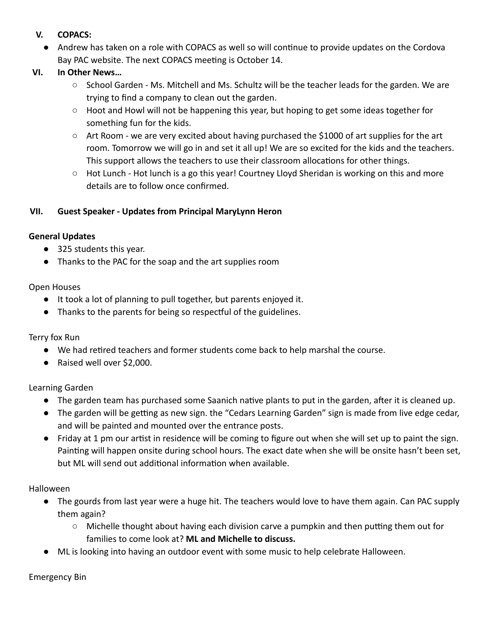- **V. COPACS:**
	- Andrew has taken on a role with COPACS as well so will continue to provide updates on the Cordova Bay PAC website. The next COPACS meeting is October 14.
- **VI. In Other News…**
	- School Garden Ms. Mitchell and Ms. Schultz will be the teacher leads for the garden. We are trying to find a company to clean out the garden.
	- Hoot and Howl will not be happening this year, but hoping to get some ideas together for something fun for the kids.
	- Art Room we are very excited about having purchased the \$1000 of art supplies for the art room. Tomorrow we will go in and set it all up! We are so excited for the kids and the teachers. This support allows the teachers to use their classroom allocations for other things.
	- $\circ$  Hot Lunch Hot lunch is a go this year! Courtney Lloyd Sheridan is working on this and more details are to follow once confirmed.

# **VII. Guest Speaker - Updates from Principal MaryLynn Heron**

### **General Updates**

- 325 students this year.
- Thanks to the PAC for the soap and the art supplies room

### Open Houses

- It took a lot of planning to pull together, but parents enjoyed it.
- Thanks to the parents for being so respectful of the guidelines.

# Terry fox Run

- We had retired teachers and former students come back to help marshal the course.
- Raised well over \$2,000.

# Learning Garden

- The garden team has purchased some Saanich native plants to put in the garden, after it is cleaned up.
- The garden will be getting as new sign. the "Cedars Learning Garden" sign is made from live edge cedar, and will be painted and mounted over the entrance posts.
- Friday at 1 pm our artist in residence will be coming to figure out when she will set up to paint the sign. Painting will happen onsite during school hours. The exact date when she will be onsite hasn't been set, but ML will send out additional information when available.

# Halloween

- The gourds from last year were a huge hit. The teachers would love to have them again. Can PAC supply them again?
	- Michelle thought about having each division carve a pumpkin and then putting them out for families to come look at? **ML and Michelle to discuss.**
- ML is looking into having an outdoor event with some music to help celebrate Halloween.

Emergency Bin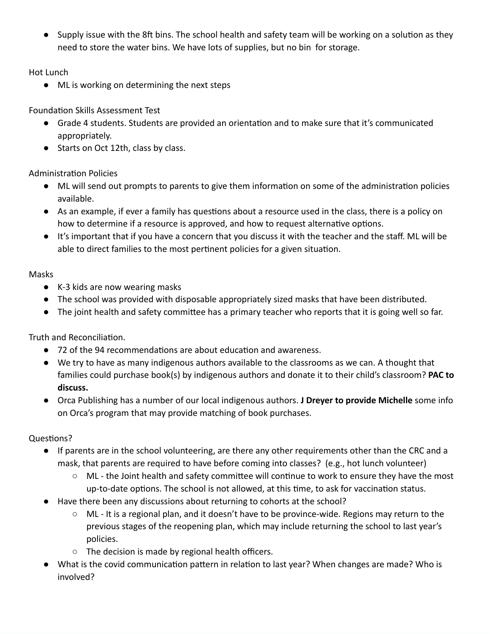● Supply issue with the 8ft bins. The school health and safety team will be working on a solution as they need to store the water bins. We have lots of supplies, but no bin for storage.

Hot Lunch

● ML is working on determining the next steps

Foundation Skills Assessment Test

- Grade 4 students. Students are provided an orientation and to make sure that it's communicated appropriately.
- Starts on Oct 12th, class by class.

Administration Policies

- ML will send out prompts to parents to give them information on some of the administration policies available.
- As an example, if ever a family has questions about a resource used in the class, there is a policy on how to determine if a resource is approved, and how to request alternative options.
- It's important that if you have a concern that you discuss it with the teacher and the staff. ML will be able to direct families to the most pertinent policies for a given situation.

# Masks

- K-3 kids are now wearing masks
- The school was provided with disposable appropriately sized masks that have been distributed.
- The joint health and safety committee has a primary teacher who reports that it is going well so far.

Truth and Reconciliation.

- 72 of the 94 recommendations are about education and awareness.
- We try to have as many indigenous authors available to the classrooms as we can. A thought that families could purchase book(s) by indigenous authors and donate it to their child's classroom? **PAC to discuss.**
- Orca Publishing has a number of our local indigenous authors. **J Dreyer to provide Michelle** some info on Orca's program that may provide matching of book purchases.

# Questions?

- If parents are in the school volunteering, are there any other requirements other than the CRC and a mask, that parents are required to have before coming into classes? (e.g., hot lunch volunteer)
	- ML the Joint health and safety committee will continue to work to ensure they have the most up-to-date options. The school is not allowed, at this time, to ask for vaccination status.
- Have there been any discussions about returning to cohorts at the school?
	- ML It is a regional plan, and it doesn't have to be province-wide. Regions may return to the previous stages of the reopening plan, which may include returning the school to last year's policies.
	- The decision is made by regional health officers.
- What is the covid communication pattern in relation to last year? When changes are made? Who is involved?